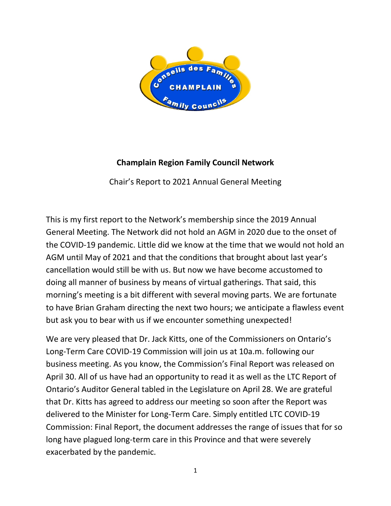

## **Champlain Region Family Council Network**

Chair's Report to 2021 Annual General Meeting

This is my first report to the Network's membership since the 2019 Annual General Meeting. The Network did not hold an AGM in 2020 due to the onset of the COVID-19 pandemic. Little did we know at the time that we would not hold an AGM until May of 2021 and that the conditions that brought about last year's cancellation would still be with us. But now we have become accustomed to doing all manner of business by means of virtual gatherings. That said, this morning's meeting is a bit different with several moving parts. We are fortunate to have Brian Graham directing the next two hours; we anticipate a flawless event but ask you to bear with us if we encounter something unexpected!

We are very pleased that Dr. Jack Kitts, one of the Commissioners on Ontario's Long-Term Care COVID-19 Commission will join us at 10a.m. following our business meeting. As you know, the Commission's Final Report was released on April 30. All of us have had an opportunity to read it as well as the LTC Report of Ontario's Auditor General tabled in the Legislature on April 28. We are grateful that Dr. Kitts has agreed to address our meeting so soon after the Report was delivered to the Minister for Long-Term Care. Simply entitled LTC COVID-19 Commission: Final Report, the document addresses the range of issues that for so long have plagued long-term care in this Province and that were severely exacerbated by the pandemic.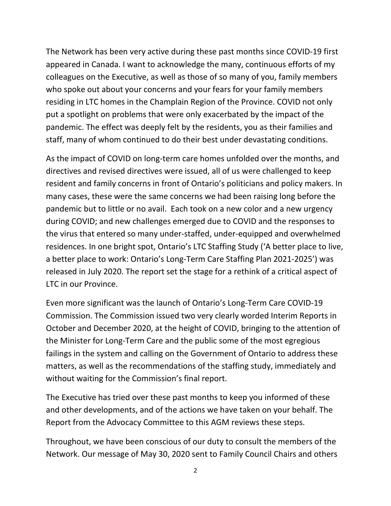The Network has been very active during these past months since COVID-19 first appeared in Canada. I want to acknowledge the many, continuous efforts of my colleagues on the Executive, as well as those of so many of you, family members who spoke out about your concerns and your fears for your family members residing in LTC homes in the Champlain Region of the Province. COVID not only put a spotlight on problems that were only exacerbated by the impact of the pandemic. The effect was deeply felt by the residents, you as their families and staff, many of whom continued to do their best under devastating conditions.

As the impact of COVID on long-term care homes unfolded over the months, and directives and revised directives were issued, all of us were challenged to keep resident and family concerns in front of Ontario's politicians and policy makers. In many cases, these were the same concerns we had been raising long before the pandemic but to little or no avail. Each took on a new color and a new urgency during COVID; and new challenges emerged due to COVID and the responses to the virus that entered so many under-staffed, under-equipped and overwhelmed residences. In one bright spot, Ontario's LTC Staffing Study ('A better place to live, a better place to work: Ontario's Long-Term Care Staffing Plan 2021-2025') was released in July 2020. The report set the stage for a rethink of a critical aspect of LTC in our Province.

Even more significant was the launch of Ontario's Long-Term Care COVID-19 Commission. The Commission issued two very clearly worded Interim Reports in October and December 2020, at the height of COVID, bringing to the attention of the Minister for Long-Term Care and the public some of the most egregious failings in the system and calling on the Government of Ontario to address these matters, as well as the recommendations of the staffing study, immediately and without waiting for the Commission's final report.

The Executive has tried over these past months to keep you informed of these and other developments, and of the actions we have taken on your behalf. The Report from the Advocacy Committee to this AGM reviews these steps.

Throughout, we have been conscious of our duty to consult the members of the Network. Our message of May 30, 2020 sent to Family Council Chairs and others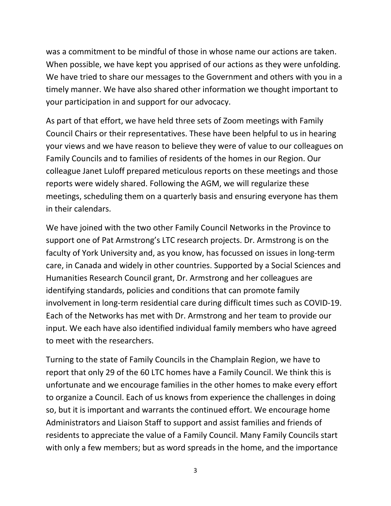was a commitment to be mindful of those in whose name our actions are taken. When possible, we have kept you apprised of our actions as they were unfolding. We have tried to share our messages to the Government and others with you in a timely manner. We have also shared other information we thought important to your participation in and support for our advocacy.

As part of that effort, we have held three sets of Zoom meetings with Family Council Chairs or their representatives. These have been helpful to us in hearing your views and we have reason to believe they were of value to our colleagues on Family Councils and to families of residents of the homes in our Region. Our colleague Janet Luloff prepared meticulous reports on these meetings and those reports were widely shared. Following the AGM, we will regularize these meetings, scheduling them on a quarterly basis and ensuring everyone has them in their calendars.

We have joined with the two other Family Council Networks in the Province to support one of Pat Armstrong's LTC research projects. Dr. Armstrong is on the faculty of York University and, as you know, has focussed on issues in long-term care, in Canada and widely in other countries. Supported by a Social Sciences and Humanities Research Council grant, Dr. Armstrong and her colleagues are identifying standards, policies and conditions that can promote family involvement in long-term residential care during difficult times such as COVID-19. Each of the Networks has met with Dr. Armstrong and her team to provide our input. We each have also identified individual family members who have agreed to meet with the researchers.

Turning to the state of Family Councils in the Champlain Region, we have to report that only 29 of the 60 LTC homes have a Family Council. We think this is unfortunate and we encourage families in the other homes to make every effort to organize a Council. Each of us knows from experience the challenges in doing so, but it is important and warrants the continued effort. We encourage home Administrators and Liaison Staff to support and assist families and friends of residents to appreciate the value of a Family Council. Many Family Councils start with only a few members; but as word spreads in the home, and the importance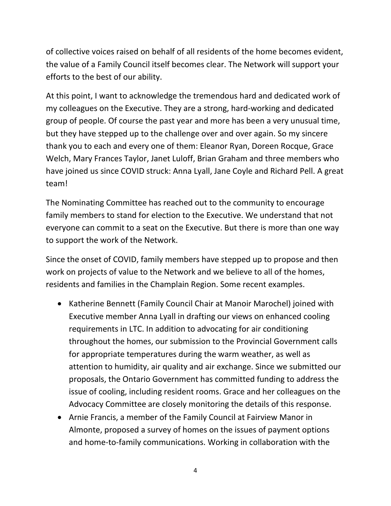of collective voices raised on behalf of all residents of the home becomes evident, the value of a Family Council itself becomes clear. The Network will support your efforts to the best of our ability.

At this point, I want to acknowledge the tremendous hard and dedicated work of my colleagues on the Executive. They are a strong, hard-working and dedicated group of people. Of course the past year and more has been a very unusual time, but they have stepped up to the challenge over and over again. So my sincere thank you to each and every one of them: Eleanor Ryan, Doreen Rocque, Grace Welch, Mary Frances Taylor, Janet Luloff, Brian Graham and three members who have joined us since COVID struck: Anna Lyall, Jane Coyle and Richard Pell. A great team!

The Nominating Committee has reached out to the community to encourage family members to stand for election to the Executive. We understand that not everyone can commit to a seat on the Executive. But there is more than one way to support the work of the Network.

Since the onset of COVID, family members have stepped up to propose and then work on projects of value to the Network and we believe to all of the homes, residents and families in the Champlain Region. Some recent examples.

- Katherine Bennett (Family Council Chair at Manoir Marochel) joined with Executive member Anna Lyall in drafting our views on enhanced cooling requirements in LTC. In addition to advocating for air conditioning throughout the homes, our submission to the Provincial Government calls for appropriate temperatures during the warm weather, as well as attention to humidity, air quality and air exchange. Since we submitted our proposals, the Ontario Government has committed funding to address the issue of cooling, including resident rooms. Grace and her colleagues on the Advocacy Committee are closely monitoring the details of this response.
- Arnie Francis, a member of the Family Council at Fairview Manor in Almonte, proposed a survey of homes on the issues of payment options and home-to-family communications. Working in collaboration with the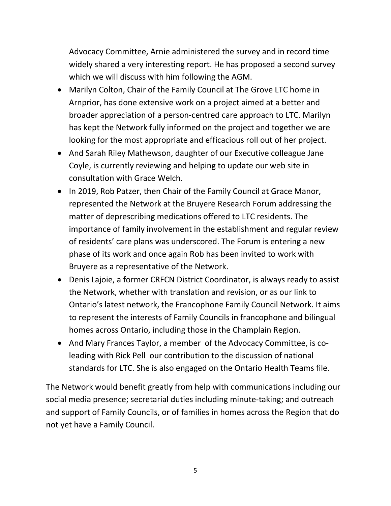Advocacy Committee, Arnie administered the survey and in record time widely shared a very interesting report. He has proposed a second survey which we will discuss with him following the AGM.

- Marilyn Colton, Chair of the Family Council at The Grove LTC home in Arnprior, has done extensive work on a project aimed at a better and broader appreciation of a person-centred care approach to LTC. Marilyn has kept the Network fully informed on the project and together we are looking for the most appropriate and efficacious roll out of her project.
- And Sarah Riley Mathewson, daughter of our Executive colleague Jane Coyle, is currently reviewing and helping to update our web site in consultation with Grace Welch.
- In 2019, Rob Patzer, then Chair of the Family Council at Grace Manor, represented the Network at the Bruyere Research Forum addressing the matter of deprescribing medications offered to LTC residents. The importance of family involvement in the establishment and regular review of residents' care plans was underscored. The Forum is entering a new phase of its work and once again Rob has been invited to work with Bruyere as a representative of the Network.
- Denis Lajoie, a former CRFCN District Coordinator, is always ready to assist the Network, whether with translation and revision, or as our link to Ontario's latest network, the Francophone Family Council Network. It aims to represent the interests of Family Councils in francophone and bilingual homes across Ontario, including those in the Champlain Region.
- And Mary Frances Taylor, a member of the Advocacy Committee, is coleading with Rick Pell our contribution to the discussion of national standards for LTC. She is also engaged on the Ontario Health Teams file.

The Network would benefit greatly from help with communications including our social media presence; secretarial duties including minute-taking; and outreach and support of Family Councils, or of families in homes across the Region that do not yet have a Family Council.